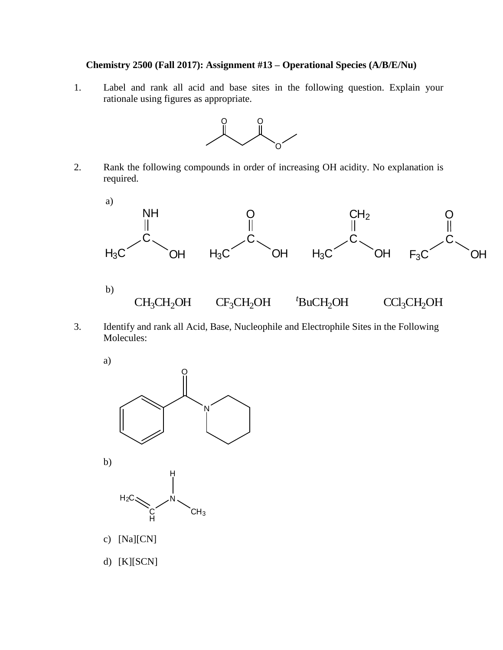## **Chemistry 2500 (Fall 2017): Assignment #13 – Operational Species (A/B/E/Nu)**

1. Label and rank all acid and base sites in the following question. Explain your rationale using figures as appropriate.



2. Rank the following compounds in order of increasing OH acidity. No explanation is required.



3. Identify and rank all Acid, Base, Nucleophile and Electrophile Sites in the Following Molecules:



d) [K][SCN]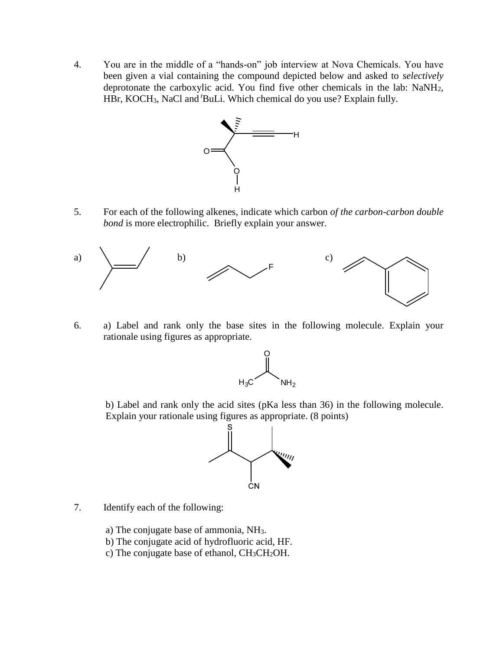4. You are in the middle of a "hands-on" job interview at Nova Chemicals. You have been given a vial containing the compound depicted below and asked to *selectively* deprotonate the carboxylic acid. You find five other chemicals in the lab: NaNH2, HBr, KOCH3, NaCl and *<sup>t</sup>*BuLi. Which chemical do you use? Explain fully.



5. For each of the following alkenes, indicate which carbon *of the carbon-carbon double bond* is more electrophilic. Briefly explain your answer.



6. a) Label and rank only the base sites in the following molecule. Explain your rationale using figures as appropriate.



b) Label and rank only the acid sites (pKa less than 36) in the following molecule. Explain your rationale using figures as appropriate. (8 points)



- 7. Identify each of the following:
	- a) The conjugate base of ammonia, NH3.
	- b) The conjugate acid of hydrofluoric acid, HF.
	- c) The conjugate base of ethanol, CH3CH2OH.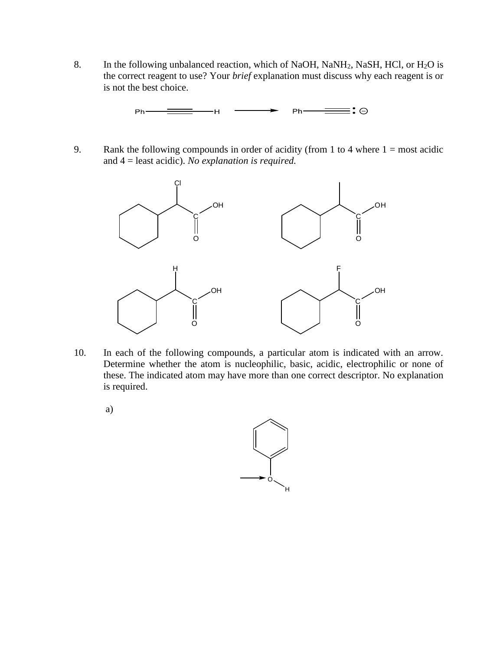8. In the following unbalanced reaction, which of NaOH, NaNH<sub>2</sub>, NaSH, HCl, or H<sub>2</sub>O is the correct reagent to use? Your *brief* explanation must discuss why each reagent is or is not the best choice.

> ≡∶⊖  $Ph Ph$ –– H-

9. Rank the following compounds in order of acidity (from 1 to 4 where  $1 = \text{most acidic}$ ) and 4 = least acidic). *No explanation is required.*



- 10. In each of the following compounds, a particular atom is indicated with an arrow. Determine whether the atom is nucleophilic, basic, acidic, electrophilic or none of these. The indicated atom may have more than one correct descriptor. No explanation is required.
	- a)